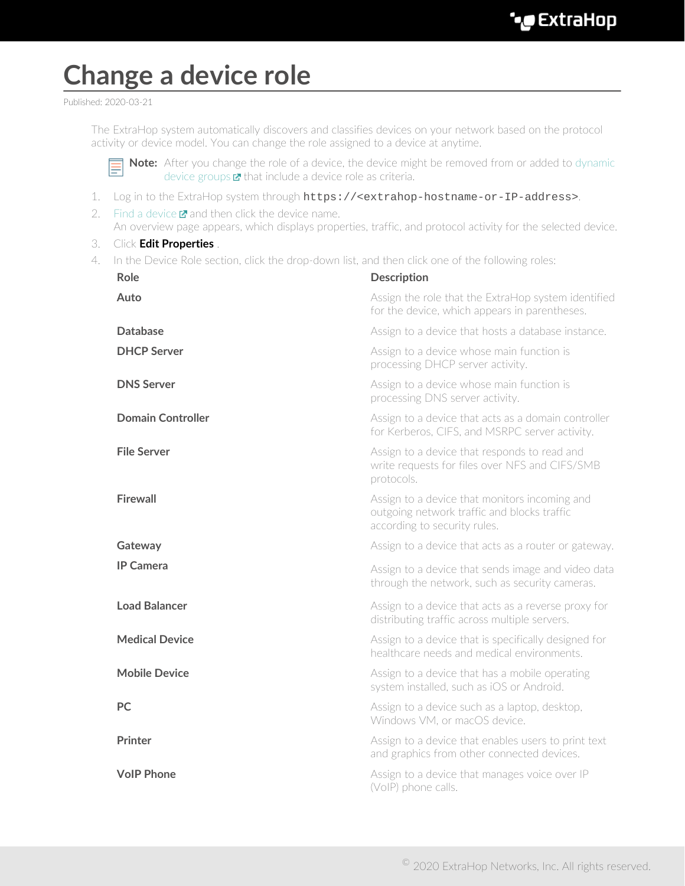## **Change a device role**

Published: 2020-03-21

The ExtraHop system automatically discovers and classifies devices on your network based on the protocol activity or device model. You can change the role assigned to a device at anytime.



**Note:** After you change the role of a device, the device might be removed from or added to [dynamic](https://docs.extrahop.com/8.0/create-device-group/#create-a-dynamic-device-group) [device groups](https://docs.extrahop.com/8.0/create-device-group/#create-a-dynamic-device-group)  $\boldsymbol{\Sigma}$  that include a device role as criteria.

- 1. Log in to the ExtraHop system through https://<extrahop-hostname-or-IP-address>.
- 2. [Find a device](https://docs.extrahop.com/8.0/find-device)  $\blacksquare$  and then click the device name. An overview page appears, which displays properties, traffic, and protocol activity for the selected device.
- 3. Click **Edit Properties** .
- 4. In the Device Role section, click the drop-down list, and then click one of the following roles:

| <b>Role</b>              | <b>Description</b>                                                                                                           |
|--------------------------|------------------------------------------------------------------------------------------------------------------------------|
| Auto                     | Assign the role that the ExtraHop system identified<br>for the device, which appears in parentheses.                         |
| <b>Database</b>          | Assign to a device that hosts a database instance.                                                                           |
| <b>DHCP Server</b>       | Assign to a device whose main function is<br>processing DHCP server activity.                                                |
| <b>DNS Server</b>        | Assign to a device whose main function is<br>processing DNS server activity.                                                 |
| <b>Domain Controller</b> | Assign to a device that acts as a domain controller<br>for Kerberos, CIFS, and MSRPC server activity.                        |
| <b>File Server</b>       | Assign to a device that responds to read and<br>write requests for files over NFS and CIFS/SMB<br>protocols.                 |
| <b>Firewall</b>          | Assign to a device that monitors incoming and<br>outgoing network traffic and blocks traffic<br>according to security rules. |
| Gateway                  | Assign to a device that acts as a router or gateway.                                                                         |
| <b>IP Camera</b>         | Assign to a device that sends image and video data<br>through the network, such as security cameras.                         |
| <b>Load Balancer</b>     | Assign to a device that acts as a reverse proxy for<br>distributing traffic across multiple servers.                         |
| <b>Medical Device</b>    | Assign to a device that is specifically designed for<br>healthcare needs and medical environments                            |
| <b>Mobile Device</b>     | Assign to a device that has a mobile operating<br>system installed, such as iOS or Android.                                  |
| <b>PC</b>                | Assign to a device such as a laptop, desktop,<br>Windows VM, or macOS device.                                                |
| <b>Printer</b>           | Assign to a device that enables users to print text<br>and graphics from other connected devices.                            |
| <b>VoIP Phone</b>        | Assign to a device that manages voice over IP<br>(VoIP) phone calls.                                                         |